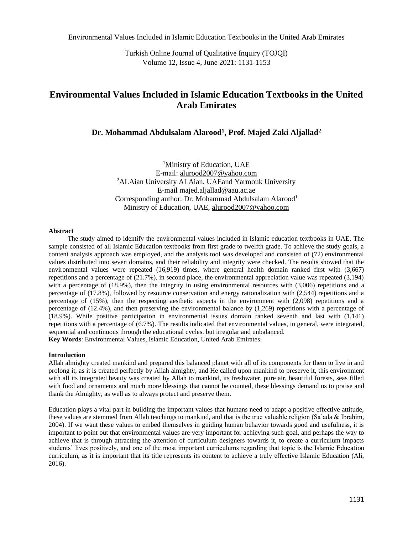Turkish Online Journal of Qualitative Inquiry (TOJQI) Volume 12, Issue 4, June 2021: 1131-1153

# **Environmental Values Included in Islamic Education Textbooks in the United Arab Emirates**

**Dr. Mohammad Abdulsalam Alarood<sup>1</sup> , Prof. Majed Zaki Aljallad<sup>2</sup>**

<sup>1</sup>Ministry of Education, UAE E-mail[: alurood2007@yahoo.com](mailto:alurood2007@yahoo.com) <sup>2</sup>ALAian University ALAian, UAEand Yarmouk University E-mail majed.aljallad@aau.ac.ae Corresponding author: Dr. Mohammad Abdulsalam Alarood<sup>1</sup> Ministry of Education, UAE, [alurood2007@yahoo.com](mailto:alurood2007@yahoo.com)

#### **Abstract**

The study aimed to identify the environmental values included in Islamic education textbooks in UAE. The sample consisted of all Islamic Education textbooks from first grade to twelfth grade. To achieve the study goals, a content analysis approach was employed, and the analysis tool was developed and consisted of (72) environmental values distributed into seven domains, and their reliability and integrity were checked. The results showed that the environmental values were repeated (16,919) times, where general health domain ranked first with (3,667) repetitions and a percentage of (21.7%), in second place, the environmental appreciation value was repeated (3,194) with a percentage of (18.9%), then the integrity in using environmental resources with (3,006) repetitions and a percentage of (17.8%), followed by resource conservation and energy rationalization with (2,544) repetitions and a percentage of (15%), then the respecting aesthetic aspects in the environment with (2,098) repetitions and a percentage of (12.4%), and then preserving the environmental balance by (1,269) repetitions with a percentage of (18.9%). While positive participation in environmental issues domain ranked seventh and last with (1,141) repetitions with a percentage of (6.7%). The results indicated that environmental values, in general, were integrated, sequential and continuous through the educational cycles, but irregular and unbalanced. **Key Words**: Environmental Values, Islamic Education, United Arab Emirates.

### **Introduction**

Allah almighty created mankind and prepared this balanced planet with all of its components for them to live in and prolong it, as it is created perfectly by Allah almighty, and He called upon mankind to preserve it, this environment with all its integrated beauty was created by Allah to mankind, its freshwater, pure air, beautiful forests, seas filled with food and ornaments and much more blessings that cannot be counted, these blessings demand us to praise and thank the Almighty, as well as to always protect and preserve them.

Education plays a vital part in building the important values that humans need to adapt a positive effective attitude, these values are stemmed from Allah teachings to mankind, and that is the true valuable religion (Sa'ada & Ibrahim, 2004). If we want these values to embed themselves in guiding human behavior towards good and usefulness, it is important to point out that environmental values are very important for achieving such goal, and perhaps the way to achieve that is through attracting the attention of curriculum designers towards it, to create a curriculum impacts students' lives positively, and one of the most important curriculums regarding that topic is the Islamic Education curriculum, as it is important that its title represents its content to achieve a truly effective Islamic Education (Ali, 2016).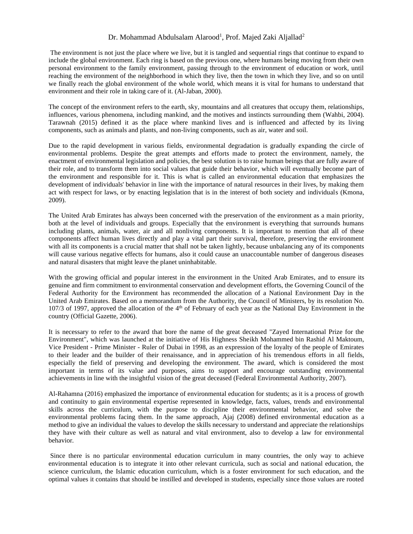The environment is not just the place where we live, but it is tangled and sequential rings that continue to expand to include the global environment. Each ring is based on the previous one, where humans being moving from their own personal environment to the family environment, passing through to the environment of education or work, until reaching the environment of the neighborhood in which they live, then the town in which they live, and so on until we finally reach the global environment of the whole world, which means it is vital for humans to understand that environment and their role in taking care of it. (Al-Jaban, 2000).

The concept of the environment refers to the earth, sky, mountains and all creatures that occupy them, relationships, influences, various phenomena, including mankind, and the motives and instincts surrounding them (Wahbi, 2004). Tarawnah (2015) defined it as the place where mankind lives and is influenced and affected by its living components, such as animals and plants, and non-living components, such as air, water and soil.

Due to the rapid development in various fields, environmental degradation is gradually expanding the circle of environmental problems. Despite the great attempts and efforts made to protect the environment, namely, the enactment of environmental legislation and policies, the best solution is to raise human beings that are fully aware of their role, and to transform them into social values that guide their behavior, which will eventually become part of the environment and responsible for it. This is what is called an environmental education that emphasizes the development of individuals' behavior in line with the importance of natural resources in their lives, by making them act with respect for laws, or by enacting legislation that is in the interest of both society and individuals (Kmona, 2009).

The United Arab Emirates has always been concerned with the preservation of the environment as a main priority, both at the level of individuals and groups. Especially that the environment is everything that surrounds humans including plants, animals, water, air and all nonliving components. It is important to mention that all of these components affect human lives directly and play a vital part their survival, therefore, preserving the environment with all its components is a crucial matter that shall not be taken lightly, because unbalancing any of its components will cause various negative effects for humans, also it could cause an unaccountable number of dangerous diseases and natural disasters that might leave the planet uninhabitable.

With the growing official and popular interest in the environment in the United Arab Emirates, and to ensure its genuine and firm commitment to environmental conservation and development efforts, the Governing Council of the Federal Authority for the Environment has recommended the allocation of a National Environment Day in the United Arab Emirates. Based on a memorandum from the Authority, the Council of Ministers, by its resolution No. 107/3 of 1997, approved the allocation of the 4<sup>th</sup> of February of each year as the National Day Environment in the country (Official Gazette, 2006).

It is necessary to refer to the award that bore the name of the great deceased "Zayed International Prize for the Environment", which was launched at the initiative of His Highness Sheikh Mohammed bin Rashid Al Maktoum, Vice President - Prime Minister - Ruler of Dubai in 1998, as an expression of the loyalty of the people of Emirates to their leader and the builder of their renaissance, and in appreciation of his tremendous efforts in all fields, especially the field of preserving and developing the environment. The award, which is considered the most important in terms of its value and purposes, aims to support and encourage outstanding environmental achievements in line with the insightful vision of the great deceased (Federal Environmental Authority, 2007).

Al-Rahamna (2016) emphasized the importance of environmental education for students; as it is a process of growth and continuity to gain environmental expertise represented in knowledge, facts, values, trends and environmental skills across the curriculum, with the purpose to discipline their environmental behavior, and solve the environmental problems facing them. In the same approach, Ajaj (2008) defined environmental education as a method to give an individual the values to develop the skills necessary to understand and appreciate the relationships they have with their culture as well as natural and vital environment, also to develop a law for environmental behavior.

Since there is no particular environmental education curriculum in many countries, the only way to achieve environmental education is to integrate it into other relevant curricula, such as social and national education, the science curriculum, the Islamic education curriculum, which is a foster environment for such education, and the optimal values it contains that should be instilled and developed in students, especially since those values are rooted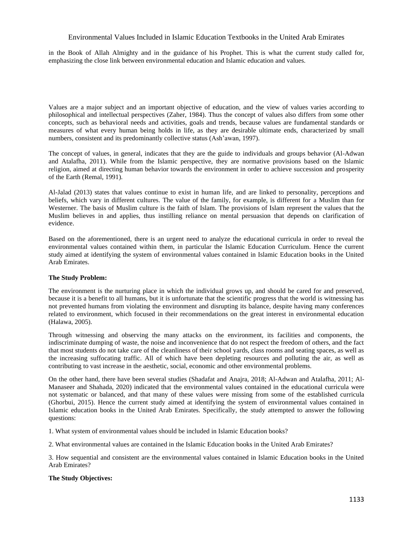in the Book of Allah Almighty and in the guidance of his Prophet. This is what the current study called for, emphasizing the close link between environmental education and Islamic education and values.

Values are a major subject and an important objective of education, and the view of values varies according to philosophical and intellectual perspectives (Zaher, 1984). Thus the concept of values also differs from some other concepts, such as behavioral needs and activities, goals and trends, because values are fundamental standards or measures of what every human being holds in life, as they are desirable ultimate ends, characterized by small numbers, consistent and its predominantly collective status (Ash'awan, 1997).

The concept of values, in general, indicates that they are the guide to individuals and groups behavior (Al-Adwan and Atalafha, 2011). While from the Islamic perspective, they are normative provisions based on the Islamic religion, aimed at directing human behavior towards the environment in order to achieve succession and prosperity of the Earth (Remal, 1991).

Al-Jalad (2013) states that values continue to exist in human life, and are linked to personality, perceptions and beliefs, which vary in different cultures. The value of the family, for example, is different for a Muslim than for Westerner. The basis of Muslim culture is the faith of Islam. The provisions of Islam represent the values that the Muslim believes in and applies, thus instilling reliance on mental persuasion that depends on clarification of evidence.

Based on the aforementioned, there is an urgent need to analyze the educational curricula in order to reveal the environmental values contained within them, in particular the Islamic Education Curriculum. Hence the current study aimed at identifying the system of environmental values contained in Islamic Education books in the United Arab Emirates.

### **The Study Problem:**

The environment is the nurturing place in which the individual grows up, and should be cared for and preserved, because it is a benefit to all humans, but it is unfortunate that the scientific progress that the world is witnessing has not prevented humans from violating the environment and disrupting its balance, despite having many conferences related to environment, which focused in their recommendations on the great interest in environmental education (Halawa, 2005).

Through witnessing and observing the many attacks on the environment, its facilities and components, the indiscriminate dumping of waste, the noise and inconvenience that do not respect the freedom of others, and the fact that most students do not take care of the cleanliness of their school yards, class rooms and seating spaces, as well as the increasing suffocating traffic. All of which have been depleting resources and polluting the air, as well as contributing to vast increase in the aesthetic, social, economic and other environmental problems.

On the other hand, there have been several studies (Shadafat and Anajra, 2018; Al-Adwan and Atalafha, 2011; Al-Manaseer and Shahada, 2020) indicated that the environmental values contained in the educational curricula were not systematic or balanced, and that many of these values were missing from some of the established curricula (Ghorbui, 2015). Hence the current study aimed at identifying the system of environmental values contained in Islamic education books in the United Arab Emirates. Specifically, the study attempted to answer the following questions:

1. What system of environmental values should be included in Islamic Education books?

2. What environmental values are contained in the Islamic Education books in the United Arab Emirates?

3. How sequential and consistent are the environmental values contained in Islamic Education books in the United Arab Emirates?

# **The Study Objectives:**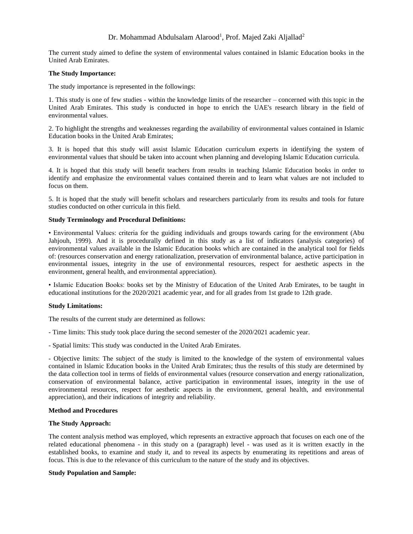The current study aimed to define the system of environmental values contained in Islamic Education books in the United Arab Emirates.

### **The Study Importance:**

The study importance is represented in the followings:

1. This study is one of few studies - within the knowledge limits of the researcher – concerned with this topic in the United Arab Emirates. This study is conducted in hope to enrich the UAE's research library in the field of environmental values.

2. To highlight the strengths and weaknesses regarding the availability of environmental values contained in Islamic Education books in the United Arab Emirates;

3. It is hoped that this study will assist Islamic Education curriculum experts in identifying the system of environmental values that should be taken into account when planning and developing Islamic Education curricula.

4. It is hoped that this study will benefit teachers from results in teaching Islamic Education books in order to identify and emphasize the environmental values contained therein and to learn what values are not included to focus on them.

5. It is hoped that the study will benefit scholars and researchers particularly from its results and tools for future studies conducted on other curricula in this field.

### **Study Terminology and Procedural Definitions:**

• Environmental Values: criteria for the guiding individuals and groups towards caring for the environment (Abu Jahjouh, 1999). And it is procedurally defined in this study as a list of indicators (analysis categories) of environmental values available in the Islamic Education books which are contained in the analytical tool for fields of: (resources conservation and energy rationalization, preservation of environmental balance, active participation in environmental issues, integrity in the use of environmental resources, respect for aesthetic aspects in the environment, general health, and environmental appreciation).

• Islamic Education Books: books set by the Ministry of Education of the United Arab Emirates, to be taught in educational institutions for the 2020/2021 academic year, and for all grades from 1st grade to 12th grade.

### **Study Limitations:**

The results of the current study are determined as follows:

- Time limits: This study took place during the second semester of the 2020/2021 academic year.
- Spatial limits: This study was conducted in the United Arab Emirates.

- Objective limits: The subject of the study is limited to the knowledge of the system of environmental values contained in Islamic Education books in the United Arab Emirates; thus the results of this study are determined by the data collection tool in terms of fields of environmental values (resource conservation and energy rationalization, conservation of environmental balance, active participation in environmental issues, integrity in the use of environmental resources, respect for aesthetic aspects in the environment, general health, and environmental appreciation), and their indications of integrity and reliability.

#### **Method and Procedures**

### **The Study Approach:**

The content analysis method was employed, which represents an extractive approach that focuses on each one of the related educational phenomena - in this study on a (paragraph) level - was used as it is written exactly in the established books, to examine and study it, and to reveal its aspects by enumerating its repetitions and areas of focus. This is due to the relevance of this curriculum to the nature of the study and its objectives.

### **Study Population and Sample:**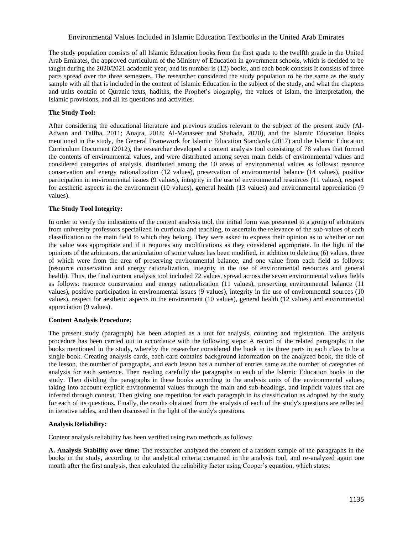The study population consists of all Islamic Education books from the first grade to the twelfth grade in the United Arab Emirates, the approved curriculum of the Ministry of Education in government schools, which is decided to be taught during the 2020/2021 academic year, and its number is (12) books, and each book consists It consists of three parts spread over the three semesters. The researcher considered the study population to be the same as the study sample with all that is included in the content of Islamic Education in the subject of the study, and what the chapters and units contain of Quranic texts, hadiths, the Prophet's biography, the values of Islam, the interpretation, the Islamic provisions, and all its questions and activities.

### **The Study Tool:**

After considering the educational literature and previous studies relevant to the subject of the present study (Al-Adwan and Talfha, 2011; Anajra, 2018; Al-Manaseer and Shahada, 2020), and the Islamic Education Books mentioned in the study, the General Framework for Islamic Education Standards (2017) and the Islamic Education Curriculum Document (2012), the researcher developed a content analysis tool consisting of 78 values that formed the contents of environmental values, and were distributed among seven main fields of environmental values and considered categories of analysis, distributed among the 10 areas of environmental values as follows: resource conservation and energy rationalization (12 values), preservation of environmental balance (14 values), positive participation in environmental issues (9 values), integrity in the use of environmental resources (11 values), respect for aesthetic aspects in the environment (10 values), general health (13 values) and environmental appreciation (9 values).

### **The Study Tool Integrity:**

In order to verify the indications of the content analysis tool, the initial form was presented to a group of arbitrators from university professors specialized in curricula and teaching, to ascertain the relevance of the sub-values of each classification to the main field to which they belong. They were asked to express their opinion as to whether or not the value was appropriate and if it requires any modifications as they considered appropriate. In the light of the opinions of the arbitrators, the articulation of some values has been modified, in addition to deleting (6) values, three of which were from the area of preserving environmental balance, and one value from each field as follows: (resource conservation and energy rationalization, integrity in the use of environmental resources and general health). Thus, the final content analysis tool included 72 values, spread across the seven environmental values fields as follows: resource conservation and energy rationalization (11 values), preserving environmental balance (11 values), positive participation in environmental issues (9 values), integrity in the use of environmental sources (10 values), respect for aesthetic aspects in the environment (10 values), general health (12 values) and environmental appreciation (9 values).

### **Content Analysis Procedure:**

The present study (paragraph) has been adopted as a unit for analysis, counting and registration. The analysis procedure has been carried out in accordance with the following steps: A record of the related paragraphs in the books mentioned in the study, whereby the researcher considered the book in its three parts in each class to be a single book. Creating analysis cards, each card contains background information on the analyzed book, the title of the lesson, the number of paragraphs, and each lesson has a number of entries same as the number of categories of analysis for each sentence. Then reading carefully the paragraphs in each of the Islamic Education books in the study. Then dividing the paragraphs in these books according to the analysis units of the environmental values, taking into account explicit environmental values through the main and sub-headings, and implicit values that are inferred through context. Then giving one repetition for each paragraph in its classification as adopted by the study for each of its questions. Finally, the results obtained from the analysis of each of the study's questions are reflected in iterative tables, and then discussed in the light of the study's questions.

### **Analysis Reliability:**

Content analysis reliability has been verified using two methods as follows:

**A. Analysis Stability over time:** The researcher analyzed the content of a random sample of the paragraphs in the books in the study, according to the analytical criteria contained in the analysis tool, and re-analyzed again one month after the first analysis, then calculated the reliability factor using Cooper's equation, which states: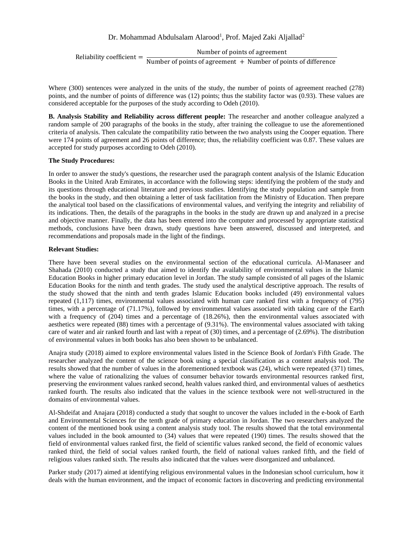Reliability coefficient  $=$ Number of points of agreement  $\overline{\text{Number of points of agreement + Number of points of difference}}$ 

Where (300) sentences were analyzed in the units of the study, the number of points of agreement reached (278) points, and the number of points of difference was (12) points; thus the stability factor was (0.93). These values are considered acceptable for the purposes of the study according to Odeh (2010).

**B. Analysis Stability and Reliability across different people:** The researcher and another colleague analyzed a random sample of 200 paragraphs of the books in the study, after training the colleague to use the aforementioned criteria of analysis. Then calculate the compatibility ratio between the two analysts using the Cooper equation. There were 174 points of agreement and 26 points of difference; thus, the reliability coefficient was 0.87. These values are accepted for study purposes according to Odeh (2010).

### **The Study Procedures:**

In order to answer the study's questions, the researcher used the paragraph content analysis of the Islamic Education Books in the United Arab Emirates, in accordance with the following steps: identifying the problem of the study and its questions through educational literature and previous studies. Identifying the study population and sample from the books in the study, and then obtaining a letter of task facilitation from the Ministry of Education. Then prepare the analytical tool based on the classifications of environmental values, and verifying the integrity and reliability of its indications. Then, the details of the paragraphs in the books in the study are drawn up and analyzed in a precise and objective manner. Finally, the data has been entered into the computer and processed by appropriate statistical methods, conclusions have been drawn, study questions have been answered, discussed and interpreted, and recommendations and proposals made in the light of the findings.

### **Relevant Studies:**

There have been several studies on the environmental section of the educational curricula. Al-Manaseer and Shahada (2010) conducted a study that aimed to identify the availability of environmental values in the Islamic Education Books in higher primary education level in Jordan. The study sample consisted of all pages of the Islamic Education Books for the ninth and tenth grades. The study used the analytical descriptive approach. The results of the study showed that the ninth and tenth grades Islamic Education books included (49) environmental values repeated (1,117) times, environmental values associated with human care ranked first with a frequency of (795) times, with a percentage of (71.17%), followed by environmental values associated with taking care of the Earth with a frequency of (204) times and a percentage of (18.26%), then the environmental values associated with aesthetics were repeated (88) times with a percentage of (9.31%). The environmental values associated with taking care of water and air ranked fourth and last with a repeat of (30) times, and a percentage of (2.69%). The distribution of environmental values in both books has also been shown to be unbalanced.

Anajra study (2018) aimed to explore environmental values listed in the Science Book of Jordan's Fifth Grade. The researcher analyzed the content of the science book using a special classification as a content analysis tool. The results showed that the number of values in the aforementioned textbook was (24), which were repeated (371) times, where the value of rationalizing the values of consumer behavior towards environmental resources ranked first, preserving the environment values ranked second, health values ranked third, and environmental values of aesthetics ranked fourth. The results also indicated that the values in the science textbook were not well-structured in the domains of environmental values.

Al-Shdeifat and Anajara (2018) conducted a study that sought to uncover the values included in the e-book of Earth and Environmental Sciences for the tenth grade of primary education in Jordan. The two researchers analyzed the content of the mentioned book using a content analysis study tool. The results showed that the total environmental values included in the book amounted to (34) values that were repeated (190) times. The results showed that the field of environmental values ranked first, the field of scientific values ranked second, the field of economic values ranked third, the field of social values ranked fourth, the field of national values ranked fifth, and the field of religious values ranked sixth. The results also indicated that the values were disorganized and unbalanced.

Parker study (2017) aimed at identifying religious environmental values in the Indonesian school curriculum, how it deals with the human environment, and the impact of economic factors in discovering and predicting environmental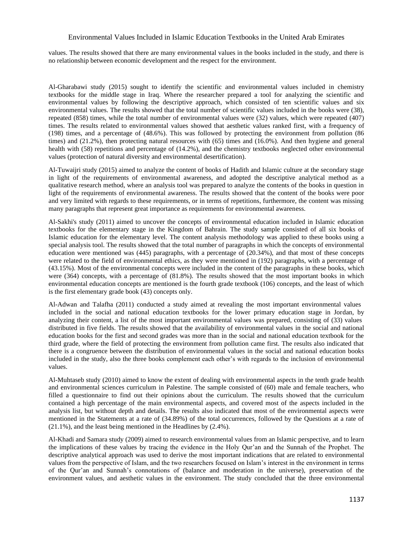values. The results showed that there are many environmental values in the books included in the study, and there is no relationship between economic development and the respect for the environment.

Al-Gharabawi study (2015) sought to identify the scientific and environmental values included in chemistry textbooks for the middle stage in Iraq. Where the researcher prepared a tool for analyzing the scientific and environmental values by following the descriptive approach, which consisted of ten scientific values and six environmental values. The results showed that the total number of scientific values included in the books were (38), repeated (858) times, while the total number of environmental values were (32) values, which were repeated (407) times. The results related to environmental values showed that aesthetic values ranked first, with a frequency of (198) times, and a percentage of (48.6%). This was followed by protecting the environment from pollution (86 times) and (21.2%), then protecting natural resources with (65) times and (16.0%). And then hygiene and general health with (58) repetitions and percentage of (14.2%), and the chemistry textbooks neglected other environmental values (protection of natural diversity and environmental desertification).

Al-Tuwaijri study (2015) aimed to analyze the content of books of Hadith and Islamic culture at the secondary stage in light of the requirements of environmental awareness, and adopted the descriptive analytical method as a qualitative research method, where an analysis tool was prepared to analyze the contents of the books in question in light of the requirements of environmental awareness. The results showed that the content of the books were poor and very limited with regards to these requirements, or in terms of repetitions, furthermore, the content was missing many paragraphs that represent great importance as requirements for environmental awareness.

Al-Sakhi's study (2011) aimed to uncover the concepts of environmental education included in Islamic education textbooks for the elementary stage in the Kingdom of Bahrain. The study sample consisted of all six books of Islamic education for the elementary level. The content analysis methodology was applied to these books using a special analysis tool. The results showed that the total number of paragraphs in which the concepts of environmental education were mentioned was (445) paragraphs, with a percentage of (20.34%), and that most of these concepts were related to the field of environmental ethics, as they were mentioned in (192) paragraphs, with a percentage of (43.15%). Most of the environmental concepts were included in the content of the paragraphs in these books, which were (364) concepts, with a percentage of (81.8%). The results showed that the most important books in which environmental education concepts are mentioned is the fourth grade textbook (106) concepts, and the least of which is the first elementary grade book (43) concepts only.

Al-Adwan and Talafha (2011) conducted a study aimed at revealing the most important environmental values included in the social and national education textbooks for the lower primary education stage in Jordan, by analyzing their content, a list of the most important environmental values was prepared, consisting of (33) values distributed in five fields. The results showed that the availability of environmental values in the social and national education books for the first and second grades was more than in the social and national education textbook for the third grade, where the field of protecting the environment from pollution came first. The results also indicated that there is a congruence between the distribution of environmental values in the social and national education books included in the study, also the three books complement each other's with regards to the inclusion of environmental values.

Al-Muhtaseb study (2010) aimed to know the extent of dealing with environmental aspects in the tenth grade health and environmental sciences curriculum in Palestine. The sample consisted of (60) male and female teachers, who filled a questionnaire to find out their opinions about the curriculum. The results showed that the curriculum contained a high percentage of the main environmental aspects, and covered most of the aspects included in the analysis list, but without depth and details. The results also indicated that most of the environmental aspects were mentioned in the Statements at a rate of (34.89%) of the total occurrences, followed by the Questions at a rate of (21.1%), and the least being mentioned in the Headlines by (2.4%).

Al-Khadi and Samara study (2009) aimed to research environmental values from an Islamic perspective, and to learn the implications of these values by tracing the evidence in the Holy Qur'an and the Sunnah of the Prophet. The descriptive analytical approach was used to derive the most important indications that are related to environmental values from the perspective of Islam, and the two researchers focused on Islam's interest in the environment in terms of the Qur'an and Sunnah's connotations of (balance and moderation in the universe), preservation of the environment values, and aesthetic values in the environment. The study concluded that the three environmental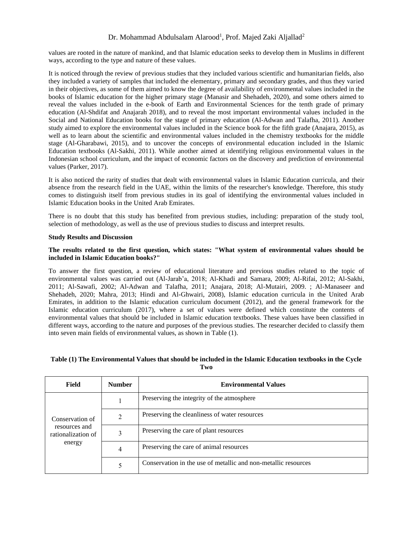values are rooted in the nature of mankind, and that Islamic education seeks to develop them in Muslims in different ways, according to the type and nature of these values.

It is noticed through the review of previous studies that they included various scientific and humanitarian fields, also they included a variety of samples that included the elementary, primary and secondary grades, and thus they varied in their objectives, as some of them aimed to know the degree of availability of environmental values included in the books of Islamic education for the higher primary stage (Manasir and Shehadeh, 2020), and some others aimed to reveal the values included in the e-book of Earth and Environmental Sciences for the tenth grade of primary education (Al-Shdifat and Anajarah 2018), and to reveal the most important environmental values included in the Social and National Education books for the stage of primary education (Al-Adwan and Talafha, 2011). Another study aimed to explore the environmental values included in the Science book for the fifth grade (Anajara, 2015), as well as to learn about the scientific and environmental values included in the chemistry textbooks for the middle stage (Al-Gharabawi, 2015), and to uncover the concepts of environmental education included in the Islamic Education textbooks (Al-Sakhi, 2011). While another aimed at identifying religious environmental values in the Indonesian school curriculum, and the impact of economic factors on the discovery and prediction of environmental values (Parker, 2017).

It is also noticed the rarity of studies that dealt with environmental values in Islamic Education curricula, and their absence from the research field in the UAE, within the limits of the researcher's knowledge. Therefore, this study comes to distinguish itself from previous studies in its goal of identifying the environmental values included in Islamic Education books in the United Arab Emirates.

There is no doubt that this study has benefited from previous studies, including: preparation of the study tool, selection of methodology, as well as the use of previous studies to discuss and interpret results.

### **Study Results and Discussion**

### **The results related to the first question, which states: "What system of environmental values should be included in Islamic Education books?"**

To answer the first question, a review of educational literature and previous studies related to the topic of environmental values was carried out (Al-Jarab'a, 2018; Al-Khadi and Samara, 2009; Al-Rifai, 2012; Al-Sakhi, 2011; Al-Sawafi, 2002; Al-Adwan and Talafha, 2011; Anajara, 2018; Al-Mutairi, 2009. ; Al-Manaseer and Shehadeh, 2020; Mahra, 2013; Hindi and Al-Ghwairi, 2008), Islamic education curricula in the United Arab Emirates, in addition to the Islamic education curriculum document (2012), and the general framework for the Islamic education curriculum (2017), where a set of values were defined which constitute the contents of environmental values that should be included in Islamic education textbooks. These values have been classified in different ways, according to the nature and purposes of the previous studies. The researcher decided to classify them into seven main fields of environmental values, as shown in Table (1).

# **Table (1) The Environmental Values that should be included in the Islamic Education textbooks in the Cycle Two**

| Field                                                            | <b>Number</b>  | <b>Environmental Values</b>                                    |
|------------------------------------------------------------------|----------------|----------------------------------------------------------------|
| Conservation of<br>resources and<br>rationalization of<br>energy |                | Preserving the integrity of the atmosphere                     |
|                                                                  | $\overline{2}$ | Preserving the cleanliness of water resources                  |
|                                                                  | 3              | Preserving the care of plant resources                         |
|                                                                  | 4              | Preserving the care of animal resources                        |
|                                                                  |                | Conservation in the use of metallic and non-metallic resources |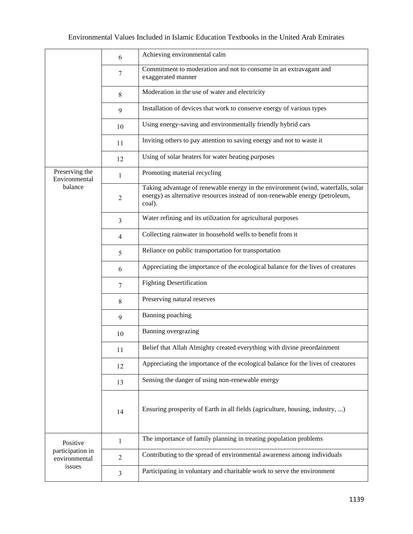|                                   | 6              | Achieving environmental calm                                                                                                                                               |
|-----------------------------------|----------------|----------------------------------------------------------------------------------------------------------------------------------------------------------------------------|
|                                   | 7              | Commitment to moderation and not to consume in an extravagant and<br>exaggerated manner                                                                                    |
|                                   | 8              | Moderation in the use of water and electricity                                                                                                                             |
|                                   | 9              | Installation of devices that work to conserve energy of various types                                                                                                      |
|                                   | 10             | Using energy-saving and environmentally friendly hybrid cars                                                                                                               |
|                                   | 11             | Inviting others to pay attention to saving energy and not to waste it                                                                                                      |
|                                   | 12             | Using of solar heaters for water heating purposes                                                                                                                          |
| Preserving the<br>Environmental   | 1              | Promoting material recycling                                                                                                                                               |
| balance                           | $\overline{2}$ | Taking advantage of renewable energy in the environment (wind, waterfalls, solar<br>energy) as alternative resources instead of non-renewable energy (petroleum,<br>coal). |
|                                   | 3              | Water refining and its utilization for agricultural purposes                                                                                                               |
|                                   | 4              | Collecting rainwater in household wells to benefit from it                                                                                                                 |
|                                   | 5              | Reliance on public transportation for transportation                                                                                                                       |
|                                   | 6              | Appreciating the importance of the ecological balance for the lives of creatures                                                                                           |
|                                   | $\tau$         | <b>Fighting Desertification</b>                                                                                                                                            |
|                                   | 8              | Preserving natural reserves                                                                                                                                                |
|                                   | 9              | Banning poaching                                                                                                                                                           |
|                                   | 10             | Banning overgrazing                                                                                                                                                        |
|                                   | 11             | Belief that Allah Almighty created everything with divine preordainment                                                                                                    |
|                                   | 12             | Appreciating the importance of the ecological balance for the lives of creatures                                                                                           |
|                                   | 13             | Sensing the danger of using non-renewable energy                                                                                                                           |
|                                   | 14             | Ensuring prosperity of Earth in all fields (agriculture, housing, industry, )                                                                                              |
| Positive                          | $\mathbf{1}$   | The importance of family planning in treating population problems                                                                                                          |
| participation in<br>environmental | $\sqrt{2}$     | Contributing to the spread of environmental awareness among individuals                                                                                                    |
| issues                            | 3              | Participating in voluntary and charitable work to serve the environment                                                                                                    |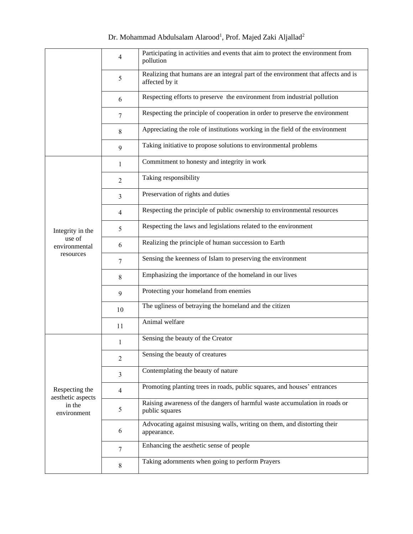|                                                              | 4              | Participating in activities and events that aim to protect the environment from<br>pollution        |
|--------------------------------------------------------------|----------------|-----------------------------------------------------------------------------------------------------|
|                                                              | 5              | Realizing that humans are an integral part of the environment that affects and is<br>affected by it |
|                                                              | 6              | Respecting efforts to preserve the environment from industrial pollution                            |
|                                                              | 7              | Respecting the principle of cooperation in order to preserve the environment                        |
|                                                              | 8              | Appreciating the role of institutions working in the field of the environment                       |
|                                                              | 9              | Taking initiative to propose solutions to environmental problems                                    |
|                                                              | 1              | Commitment to honesty and integrity in work                                                         |
|                                                              | $\overline{2}$ | Taking responsibility                                                                               |
|                                                              | 3              | Preservation of rights and duties                                                                   |
|                                                              | 4              | Respecting the principle of public ownership to environmental resources                             |
| Integrity in the                                             | 5              | Respecting the laws and legislations related to the environment                                     |
| use of<br>environmental                                      | 6              | Realizing the principle of human succession to Earth                                                |
| resources                                                    | 7              | Sensing the keenness of Islam to preserving the environment                                         |
|                                                              | 8              | Emphasizing the importance of the homeland in our lives                                             |
|                                                              | 9              | Protecting your homeland from enemies                                                               |
|                                                              | 10             | The ugliness of betraying the homeland and the citizen                                              |
|                                                              | 11             | Animal welfare                                                                                      |
|                                                              | 1              | Sensing the beauty of the Creator                                                                   |
|                                                              | 2              | Sensing the beauty of creatures                                                                     |
|                                                              | 3              | Contemplating the beauty of nature                                                                  |
| Respecting the<br>aesthetic aspects<br>in the<br>environment | 4              | Promoting planting trees in roads, public squares, and houses' entrances                            |
|                                                              | 5              | Raising awareness of the dangers of harmful waste accumulation in roads or<br>public squares        |
|                                                              | 6              | Advocating against misusing walls, writing on them, and distorting their<br>appearance.             |
|                                                              | 7              | Enhancing the aesthetic sense of people                                                             |
|                                                              | $8\,$          | Taking adornments when going to perform Prayers                                                     |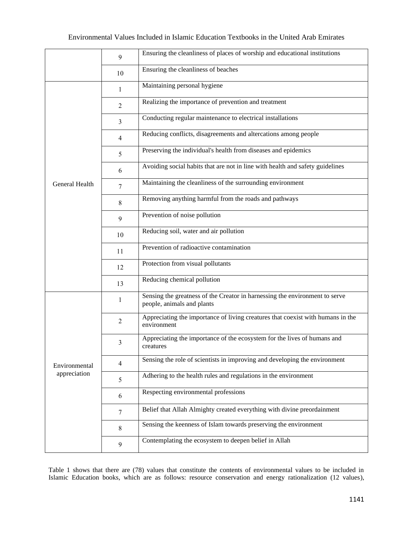|                       | 9              | Ensuring the cleanliness of places of worship and educational institutions                                |
|-----------------------|----------------|-----------------------------------------------------------------------------------------------------------|
|                       | 10             | Ensuring the cleanliness of beaches                                                                       |
|                       | 1              | Maintaining personal hygiene                                                                              |
|                       | $\overline{2}$ | Realizing the importance of prevention and treatment                                                      |
|                       | 3              | Conducting regular maintenance to electrical installations                                                |
|                       | $\overline{4}$ | Reducing conflicts, disagreements and altercations among people                                           |
|                       | 5              | Preserving the individual's health from diseases and epidemics                                            |
|                       | 6              | Avoiding social habits that are not in line with health and safety guidelines                             |
| <b>General Health</b> | $\tau$         | Maintaining the cleanliness of the surrounding environment                                                |
|                       | $\,8\,$        | Removing anything harmful from the roads and pathways                                                     |
|                       | 9              | Prevention of noise pollution                                                                             |
|                       | 10             | Reducing soil, water and air pollution                                                                    |
|                       | 11             | Prevention of radioactive contamination                                                                   |
|                       | 12             | Protection from visual pollutants                                                                         |
|                       | 13             | Reducing chemical pollution                                                                               |
|                       | 1              | Sensing the greatness of the Creator in harnessing the environment to serve<br>people, animals and plants |
|                       | $\overline{2}$ | Appreciating the importance of living creatures that coexist with humans in the<br>environment            |
|                       | 3              | Appreciating the importance of the ecosystem for the lives of humans and<br>creatures                     |
| Environmental         | 4              | Sensing the role of scientists in improving and developing the environment                                |
| appreciation          | 5              | Adhering to the health rules and regulations in the environment                                           |
|                       | 6              | Respecting environmental professions                                                                      |
|                       | $\tau$         | Belief that Allah Almighty created everything with divine preordainment                                   |
|                       | 8              | Sensing the keenness of Islam towards preserving the environment                                          |
|                       | 9              | Contemplating the ecosystem to deepen belief in Allah                                                     |

Table 1 shows that there are (78) values that constitute the contents of environmental values to be included in Islamic Education books, which are as follows: resource conservation and energy rationalization (12 values),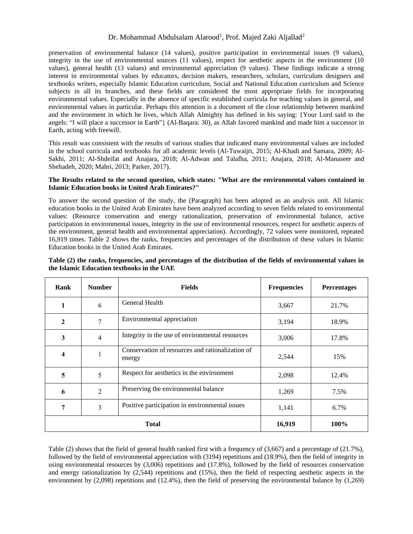preservation of environmental balance (14 values), positive participation in environmental issues (9 values), integrity in the use of environmental sources (11 values), respect for aesthetic aspects in the environment (10 values), general health (13 values) and environmental appreciation (9 values). These findings indicate a strong interest in environmental values by educators, decision makers, researchers, scholars, curriculum designers and textbooks writers, especially Islamic Education curriculum, Social and National Education curriculum and Science subjects in all its branches, and these fields are considered the most appropriate fields for incorporating environmental values. Especially in the absence of specific established curricula for teaching values in general, and environmental values in particular. Perhaps this attention is a document of the close relationship between mankind and the environment in which he lives, which Allah Almighty has defined in his saying: {Your Lord said to the angels: "I will place a successor in Earth"} (Al-Baqara: 30), as Allah favored mankind and made him a successor in Earth, acting with freewill.

This result was consistent with the results of various studies that indicated many environmental values are included in the school curricula and textbooks for all academic levels (Al-Tuwaijri, 2015; Al-Khadi and Samara, 2009; Al-Sakhi, 2011; Al-Shdeifat and Anajara, 2018; Al-Adwan and Talafha, 2011; Anajara, 2018; Al-Manaseer and Shehadeh, 2020; Mahri, 2013; Parker, 2017).

### **The Results related to the second question, which states: "What are the environmental values contained in Islamic Education books in United Arab Emirates?"**

To answer the second question of the study, the (Paragraph) has been adopted as an analysis unit. All Islamic education books in the United Arab Emirates have been analyzed according to seven fields related to environmental values: (Resource conservation and energy rationalization, preservation of environmental balance, active participation in environmental issues, integrity in the use of environmental resources, respect for aesthetic aspects of the environment, general health and environmental appreciation). Accordingly, 72 values were monitored, repeated 16,919 times. Table 2 shows the ranks, frequencies and percentages of the distribution of these values in Islamic Education books in the United Arab Emirates.

| Rank         | <b>Number</b>  | <b>Fields</b>                                              | <b>Frequencies</b> | <b>Percentages</b> |
|--------------|----------------|------------------------------------------------------------|--------------------|--------------------|
| 1            | 6              | General Health                                             | 3,667              | 21.7%              |
| $\mathbf{2}$ | 7              | Environmental appreciation                                 | 3,194              | 18.9%              |
| 3            | $\overline{4}$ | Integrity in the use of environmental resources            | 3,006              | 17.8%              |
| 4            | $\mathbf{I}$   | Conservation of resources and rationalization of<br>energy | 2,544              | 15%                |
| 5            | 5              | Respect for aesthetics in the environment                  | 2,098              | 12.4%              |
| 6            | $\overline{2}$ | Preserving the environmental balance                       | 1,269              | 7.5%               |
| 7            | 3              | Positive participation in environmental issues             | 1,141              | 6.7%               |
| <b>Total</b> |                |                                                            | 16,919             | 100%               |

### **Table (2) the ranks, frequencies, and percentages of the distribution of the fields of environmental values in the Islamic Education textbooks in the UAE**

Table (2) shows that the field of general health ranked first with a frequency of (3,667) and a percentage of (21.7%), followed by the field of environmental appreciation with (3194) repetitions and (18.9%), then the field of integrity in using environmental resources by (3,006) repetitions and (17.8%), followed by the field of resources conservation and energy rationalization by (2,544) repetitions and (15%), then the field of respecting aesthetic aspects in the environment by (2,098) repetitions and (12.4%), then the field of preserving the environmental balance by (1,269)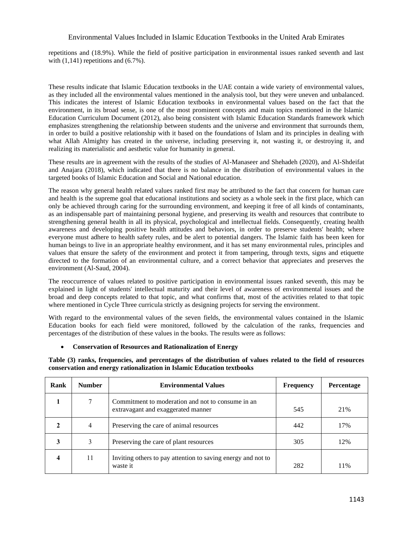repetitions and (18.9%). While the field of positive participation in environmental issues ranked seventh and last with  $(1.141)$  repetitions and  $(6.7\%)$ .

These results indicate that Islamic Education textbooks in the UAE contain a wide variety of environmental values, as they included all the environmental values mentioned in the analysis tool, but they were uneven and unbalanced. This indicates the interest of Islamic Education textbooks in environmental values based on the fact that the environment, in its broad sense, is one of the most prominent concepts and main topics mentioned in the Islamic Education Curriculum Document (2012), also being consistent with Islamic Education Standards framework which emphasizes strengthening the relationship between students and the universe and environment that surrounds them, in order to build a positive relationship with it based on the foundations of Islam and its principles in dealing with what Allah Almighty has created in the universe, including preserving it, not wasting it, or destroying it, and realizing its materialistic and aesthetic value for humanity in general.

These results are in agreement with the results of the studies of Al-Manaseer and Shehadeh (2020), and Al-Shdeifat and Anajara (2018), which indicated that there is no balance in the distribution of environmental values in the targeted books of Islamic Education and Social and National education.

The reason why general health related values ranked first may be attributed to the fact that concern for human care and health is the supreme goal that educational institutions and society as a whole seek in the first place, which can only be achieved through caring for the surrounding environment, and keeping it free of all kinds of contaminants, as an indispensable part of maintaining personal hygiene, and preserving its wealth and resources that contribute to strengthening general health in all its physical, psychological and intellectual fields. Consequently, creating health awareness and developing positive health attitudes and behaviors, in order to preserve students' health; where everyone must adhere to health safety rules, and be alert to potential dangers. The Islamic faith has been keen for human beings to live in an appropriate healthy environment, and it has set many environmental rules, principles and values that ensure the safety of the environment and protect it from tampering, through texts, signs and etiquette directed to the formation of an environmental culture, and a correct behavior that appreciates and preserves the environment (Al-Saud, 2004).

The reoccurrence of values related to positive participation in environmental issues ranked seventh, this may be explained in light of students' intellectual maturity and their level of awareness of environmental issues and the broad and deep concepts related to that topic, and what confirms that, most of the activities related to that topic where mentioned in Cycle Three curricula strictly as designing projects for serving the environment.

With regard to the environmental values of the seven fields, the environmental values contained in the Islamic Education books for each field were monitored, followed by the calculation of the ranks, frequencies and percentages of the distribution of these values in the books. The results were as follows:

# • **Conservation of Resources and Rationalization of Energy**

**Table (3) ranks, frequencies, and percentages of the distribution of values related to the field of resources conservation and energy rationalization in Islamic Education textbooks**

| Rank | <b>Number</b>  | <b>Environmental Values</b>                                                             | <b>Frequency</b> | Percentage |
|------|----------------|-----------------------------------------------------------------------------------------|------------------|------------|
| 1    | 7              | Commitment to moderation and not to consume in an<br>extravagant and exaggerated manner | 545              | 21%        |
|      | $\overline{4}$ | Preserving the care of animal resources                                                 | 442              | 17%        |
| 3    | 3              | Preserving the care of plant resources                                                  | 305              | 12%        |
| 4    | 11             | Inviting others to pay attention to saving energy and not to<br>waste it                | 282              | 11%        |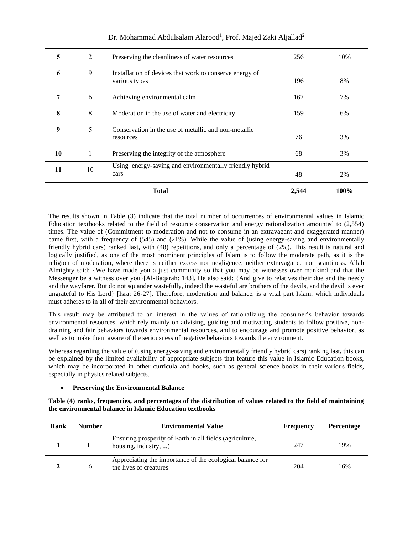| 5  | $\overline{2}$ | Preserving the cleanliness of water resources                            | 256  | 10% |
|----|----------------|--------------------------------------------------------------------------|------|-----|
| 6  | 9              | Installation of devices that work to conserve energy of<br>various types | 196  | 8%  |
| 7  | 6              | Achieving environmental calm                                             | 167  | 7%  |
| 8  | 8              | Moderation in the use of water and electricity                           | 159  | 6%  |
| 9  | 5              | Conservation in the use of metallic and non-metallic<br>resources        | 76   | 3%  |
| 10 | 1              | Preserving the integrity of the atmosphere                               | 68   | 3%  |
| 11 | 10             | Using energy-saving and environmentally friendly hybrid<br>cars          | 48   | 2%  |
|    |                | 2,544                                                                    | 100% |     |

Dr. Mohammad Abdulsalam Alarood<sup>1</sup>, Prof. Majed Zaki Aljallad<sup>2</sup>

The results shown in Table (3) indicate that the total number of occurrences of environmental values in Islamic Education textbooks related to the field of resource conservation and energy rationalization amounted to (2,554) times. The value of (Commitment to moderation and not to consume in an extravagant and exaggerated manner) came first, with a frequency of (545) and (21%). While the value of (using energy-saving and environmentally friendly hybrid cars) ranked last, with (48) repetitions, and only a percentage of (2%). This result is natural and logically justified, as one of the most prominent principles of Islam is to follow the moderate path, as it is the religion of moderation, where there is neither excess nor negligence, neither extravagance nor scantiness. Allah Almighty said: {We have made you a just community so that you may be witnesses over mankind and that the Messenger be a witness over you}[Al-Baqarah: 143], He also said: {And give to relatives their due and the needy and the wayfarer. But do not squander wastefully, indeed the wasteful are brothers of the devils, and the devil is ever ungrateful to His Lord} [Isra: 26-27]. Therefore, moderation and balance, is a vital part Islam, which individuals must adheres to in all of their environmental behaviors.

This result may be attributed to an interest in the values of rationalizing the consumer's behavior towards environmental resources, which rely mainly on advising, guiding and motivating students to follow positive, nondraining and fair behaviors towards environmental resources, and to encourage and promote positive behavior, as well as to make them aware of the seriousness of negative behaviors towards the environment.

Whereas regarding the value of (using energy-saving and environmentally friendly hybrid cars) ranking last, this can be explained by the limited availability of appropriate subjects that feature this value in Islamic Education books, which may be incorporated in other curricula and books, such as general science books in their various fields, especially in physics related subjects.

# • **Preserving the Environmental Balance**

### **Table (4) ranks, frequencies, and percentages of the distribution of values related to the field of maintaining the environmental balance in Islamic Education textbooks**

| Rank | <b>Number</b> | <b>Environmental Value</b>                                                          | Frequency | <b>Percentage</b> |
|------|---------------|-------------------------------------------------------------------------------------|-----------|-------------------|
|      | 11            | Ensuring prosperity of Earth in all fields (agriculture,<br>housing, industry, )    | 247       | 19%               |
|      | <sub>0</sub>  | Appreciating the importance of the ecological balance for<br>the lives of creatures | 204       | 16%               |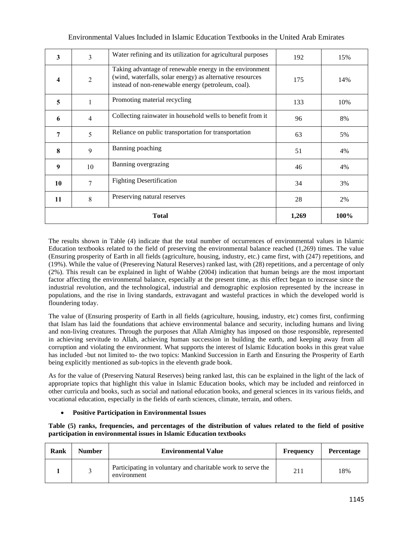| 3  | 3              | Water refining and its utilization for agricultural purposes                                                                                                               | 192  | 15% |
|----|----------------|----------------------------------------------------------------------------------------------------------------------------------------------------------------------------|------|-----|
| 4  | $\overline{2}$ | Taking advantage of renewable energy in the environment<br>(wind, waterfalls, solar energy) as alternative resources<br>instead of non-renewable energy (petroleum, coal). | 175  | 14% |
| 5  | 1              | Promoting material recycling                                                                                                                                               | 133  | 10% |
| 6  | $\overline{4}$ | Collecting rainwater in household wells to benefit from it                                                                                                                 | 96   | 8%  |
| 7  | 5              | Reliance on public transportation for transportation                                                                                                                       | 63   | 5%  |
| 8  | 9              | Banning poaching                                                                                                                                                           | 51   | 4%  |
| 9  | 10             | Banning overgrazing                                                                                                                                                        | 46   | 4%  |
| 10 | 7              | <b>Fighting Desertification</b>                                                                                                                                            | 34   | 3%  |
| 11 | 8              | Preserving natural reserves                                                                                                                                                | 28   | 2%  |
|    |                | 1,269                                                                                                                                                                      | 100% |     |

The results shown in Table (4) indicate that the total number of occurrences of environmental values in Islamic Education textbooks related to the field of preserving the environmental balance reached (1,269) times. The value (Ensuring prosperity of Earth in all fields (agriculture, housing, industry, etc.) came first, with (247) repetitions, and (19%). While the value of (Presereving Natural Reserves) ranked last, with (28) repetitions, and a percentage of only (2%). This result can be explained in light of Wahbe (2004) indication that human beings are the most important factor affecting the environmental balance, especially at the present time, as this effect began to increase since the industrial revolution, and the technological, industrial and demographic explosion represented by the increase in populations, and the rise in living standards, extravagant and wasteful practices in which the developed world is floundering today.

The value of (Ensuring prosperity of Earth in all fields (agriculture, housing, industry, etc) comes first, confirming that Islam has laid the foundations that achieve environmental balance and security, including humans and living and non-living creatures. Through the purposes that Allah Almighty has imposed on those responsible, represented in achieving servitude to Allah, achieving human succession in building the earth, and keeping away from all corruption and violating the environment. What supports the interest of Islamic Education books in this great value has included -but not limited to- the two topics: Mankind Succession in Earth and Ensuring the Prosperity of Earth being explicitly mentioned as sub-topics in the eleventh grade book.

As for the value of (Preserving Natural Reserves) being ranked last, this can be explained in the light of the lack of appropriate topics that highlight this value in Islamic Education books, which may be included and reinforced in other curricula and books, such as social and national education books, and general sciences in its various fields, and vocational education, especially in the fields of earth sciences, climate, terrain, and others.

# • **Positive Participation in Environmental Issues**

**Table (5) ranks, frequencies, and percentages of the distribution of values related to the field of positive participation in environmental issues in Islamic Education textbooks**

| Rank | <b>Number</b> | <b>Environmental Value</b>                                                 | <b>Frequency</b> | <b>Percentage</b> |
|------|---------------|----------------------------------------------------------------------------|------------------|-------------------|
|      |               | Participating in voluntary and charitable work to serve the<br>environment | 211              | 18%               |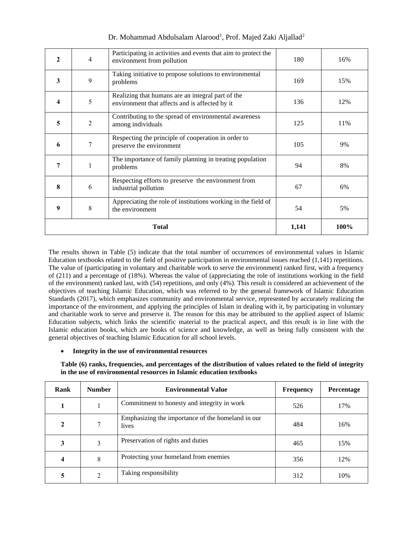| 2 | 4              | Participating in activities and events that aim to protect the<br>environment from pollution        | 180  | 16% |
|---|----------------|-----------------------------------------------------------------------------------------------------|------|-----|
| 3 | 9              | Taking initiative to propose solutions to environmental<br>problems                                 | 169  | 15% |
| 4 | 5              | Realizing that humans are an integral part of the<br>environment that affects and is affected by it | 136  | 12% |
| 5 | $\overline{2}$ | Contributing to the spread of environmental awareness<br>among individuals                          | 125  | 11% |
| 6 | 7              | Respecting the principle of cooperation in order to<br>preserve the environment                     | 105  | 9%  |
| 7 | 1              | The importance of family planning in treating population<br>problems                                | 94   | 8%  |
| 8 | 6              | Respecting efforts to preserve the environment from<br>industrial pollution                         | 67   | 6%  |
| 9 | $\,$ 8 $\,$    | Appreciating the role of institutions working in the field of<br>the environment                    | 54   | 5%  |
|   |                | 1,141                                                                                               | 100% |     |

Dr. Mohammad Abdulsalam Alarood<sup>1</sup>, Prof. Majed Zaki Aljallad<sup>2</sup>

The results shown in Table (5) indicate that the total number of occurrences of environmental values in Islamic Education textbooks related to the field of positive participation in environmental issues reached (1,141) repetitions. The value of (participating in voluntary and charitable work to serve the environment) ranked first, with a frequency of (211) and a percentage of (18%). Whereas the value of (appreciating the role of institutions working in the field of the environment) ranked last, with (54) repetitions, and only (4%). This result is considered an achievement of the objectives of teaching Islamic Education, which was referred to by the general framework of Islamic Education Standards (2017), which emphasizes community and environmental service, represented by accurately realizing the importance of the environment, and applying the principles of Islam in dealing with it, by participating in voluntary and charitable work to serve and preserve it. The reason for this may be attributed to the applied aspect of Islamic Education subjects, which links the scientific material to the practical aspect, and this result is in line with the Islamic education books, which are books of science and knowledge, as well as being fully consistent with the general objectives of teaching Islamic Education for all school levels.

### • **Integrity in the use of environmental resources**

**Table (6) ranks, frequencies, and percentages of the distribution of values related to the field of integrity in the use of environmental resources in Islamic education textbooks**

| Rank        | <b>Number</b> | <b>Environmental Value</b>                                 | <b>Frequency</b> | Percentage |
|-------------|---------------|------------------------------------------------------------|------------------|------------|
|             |               | Commitment to honesty and integrity in work                | 526              | 17%        |
| $\mathbf 2$ | 7             | Emphasizing the importance of the homeland in our<br>lives | 484              | 16%        |
| 3           | 3             | Preservation of rights and duties                          | 465              | 15%        |
| 4           | 8             | Protecting your homeland from enemies                      | 356              | 12%        |
| 5           | 2             | Taking responsibility                                      | 312              | 10%        |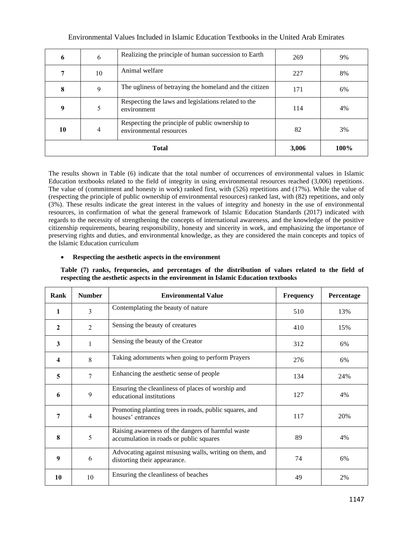| 6            | 6                                                                               | Realizing the principle of human succession to Earth               | 269   | 9%   |
|--------------|---------------------------------------------------------------------------------|--------------------------------------------------------------------|-------|------|
|              | 10                                                                              | Animal welfare                                                     | 227   | 8%   |
| 8            | The ugliness of betraying the homeland and the citizen<br>9                     |                                                                    | 171   | 6%   |
| 9            | 5                                                                               | Respecting the laws and legislations related to the<br>environment | 114   | 4%   |
| 10           | Respecting the principle of public ownership to<br>4<br>environmental resources |                                                                    | 82    | 3%   |
| <b>Total</b> |                                                                                 |                                                                    | 3,006 | 100% |

The results shown in Table (6) indicate that the total number of occurrences of environmental values in Islamic Education textbooks related to the field of integrity in using environmental resources reached (3,006) repetitions. The value of (commitment and honesty in work) ranked first, with (526) repetitions and (17%). While the value of (respecting the principle of public ownership of environmental resources) ranked last, with (82) repetitions, and only (3%). These results indicate the great interest in the values of integrity and honesty in the use of environmental resources, in confirmation of what the general framework of Islamic Education Standards (2017) indicated with regards to the necessity of strengthening the concepts of international awareness, and the knowledge of the positive citizenship requirements, bearing responsibility, honesty and sincerity in work, and emphasizing the importance of preserving rights and duties, and environmental knowledge, as they are considered the main concepts and topics of the Islamic Education curriculum

# • **Respecting the aesthetic aspects in the environment**

**Table (7) ranks, frequencies, and percentages of the distribution of values related to the field of respecting the aesthetic aspects in the environment in Islamic Education textbooks**

| Rank                    | <b>Number</b>  | <b>Environmental Value</b>                                                                   | Frequency | Percentage |
|-------------------------|----------------|----------------------------------------------------------------------------------------------|-----------|------------|
| 1                       | 3              | Contemplating the beauty of nature                                                           | 510       | 13%        |
| $\mathbf{2}$            | $\overline{2}$ | Sensing the beauty of creatures                                                              | 410       | 15%        |
| $\overline{\mathbf{3}}$ | 1              | Sensing the beauty of the Creator                                                            | 312       | 6%         |
| $\overline{\mathbf{4}}$ | 8              | Taking adornments when going to perform Prayers                                              | 276       | 6%         |
| 5                       | 7              | Enhancing the aesthetic sense of people                                                      | 134       | 24%        |
| 6                       | 9              | Ensuring the cleanliness of places of worship and<br>educational institutions                | 127       | 4%         |
| 7                       | $\overline{4}$ | Promoting planting trees in roads, public squares, and<br>houses' entrances                  | 117       | 20%        |
| 8                       | 5              | Raising awareness of the dangers of harmful waste<br>accumulation in roads or public squares | 89        | 4%         |
| 9                       | 6              | Advocating against misusing walls, writing on them, and<br>distorting their appearance.      | 74        | 6%         |
| 10                      | 10             | Ensuring the cleanliness of beaches                                                          | 49        | 2%         |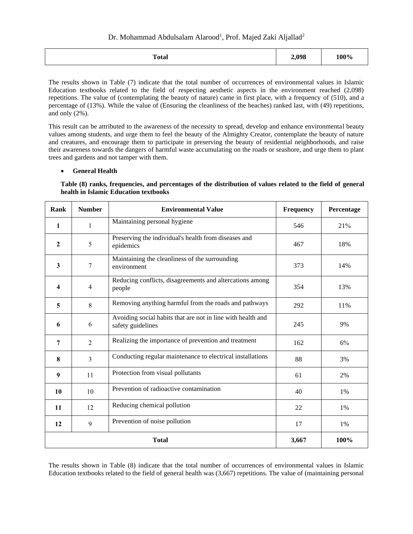| <b>Total</b> | 2,098 | 100% |
|--------------|-------|------|
|              |       |      |

The results shown in Table (7) indicate that the total number of occurrences of environmental values in Islamic Education textbooks related to the field of respecting aesthetic aspects in the environment reached (2,098) repetitions. The value of (contemplating the beauty of nature) came in first place, with a frequency of (510), and a percentage of (13%). While the value of (Ensuring the cleanliness of the beaches) ranked last, with (49) repetitions, and only (2%).

This result can be attributed to the awareness of the necessity to spread, develop and enhance environmental beauty values among students, and urge them to feel the beauty of the Almighty Creator, contemplate the beauty of nature and creatures, and encourage them to participate in preserving the beauty of residential neighborhoods, and raise their awareness towards the dangers of harmful waste accumulating on the roads or seashore, and urge them to plant trees and gardens and not tamper with them.

### • **General Health**

| Table (8) ranks, frequencies, and percentages of the distribution of values related to the field of general |  |  |
|-------------------------------------------------------------------------------------------------------------|--|--|
| health in Islamic Education textbooks                                                                       |  |  |

| Rank                    | <b>Number</b>                                                                        | <b>Environmental Value</b>                                                       | Frequency | Percentage |
|-------------------------|--------------------------------------------------------------------------------------|----------------------------------------------------------------------------------|-----------|------------|
| $\mathbf{1}$            | $\mathbf{1}$                                                                         | Maintaining personal hygiene                                                     | 546       | 21%        |
| $\boldsymbol{2}$        | 5                                                                                    | Preserving the individual's health from diseases and<br>epidemics                | 467       | 18%        |
| $\overline{\mathbf{3}}$ | 7                                                                                    | Maintaining the cleanliness of the surrounding<br>environment                    | 373       | 14%        |
| 4                       | Reducing conflicts, disagreements and altercations among<br>$\overline{4}$<br>people |                                                                                  | 354       | 13%        |
| 5                       | 8                                                                                    | Removing anything harmful from the roads and pathways<br>292                     |           | 11%        |
| 6                       | 6                                                                                    | Avoiding social habits that are not in line with health and<br>safety guidelines | 245       | 9%         |
| $\overline{7}$          | $\overline{2}$                                                                       | Realizing the importance of prevention and treatment                             | 162       | 6%         |
| 8                       | 3                                                                                    | Conducting regular maintenance to electrical installations                       |           | 3%         |
| 9                       | 11                                                                                   | Protection from visual pollutants                                                | 61        | 2%         |
| 10                      | 10                                                                                   | Prevention of radioactive contamination                                          | 40        | 1%         |
| 11                      | 12                                                                                   | Reducing chemical pollution                                                      | 22        | 1%         |
| 12                      | 9                                                                                    | Prevention of noise pollution                                                    | 17        | 1%         |
|                         |                                                                                      | 3,667                                                                            | 100%      |            |

The results shown in Table (8) indicate that the total number of occurrences of environmental values in Islamic Education textbooks related to the field of general health was (3,667) repetitions. The value of (maintaining personal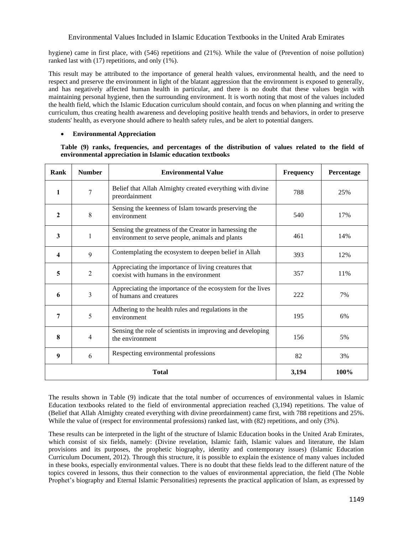hygiene) came in first place, with (546) repetitions and (21%). While the value of (Prevention of noise pollution) ranked last with (17) repetitions, and only (1%).

This result may be attributed to the importance of general health values, environmental health, and the need to respect and preserve the environment in light of the blatant aggression that the environment is exposed to generally, and has negatively affected human health in particular, and there is no doubt that these values begin with maintaining personal hygiene, then the surrounding environment. It is worth noting that most of the values included the health field, which the Islamic Education curriculum should contain, and focus on when planning and writing the curriculum, thus creating health awareness and developing positive health trends and behaviors, in order to preserve students' health, as everyone should adhere to health safety rules, and be alert to potential dangers.

# • **Environmental Appreciation**

**Table (9) ranks, frequencies, and percentages of the distribution of values related to the field of environmental appreciation in Islamic education textbooks**

| Rank                    | <b>Number</b>                                                                                                  | <b>Environmental Value</b>                                                                     | <b>Frequency</b> | Percentage |
|-------------------------|----------------------------------------------------------------------------------------------------------------|------------------------------------------------------------------------------------------------|------------------|------------|
| $\mathbf{1}$            | $\tau$                                                                                                         | Belief that Allah Almighty created everything with divine<br>preordainment                     | 788              | 25%        |
| $\mathbf{2}$            | 8                                                                                                              | Sensing the keenness of Islam towards preserving the<br>environment                            | 540              | 17%        |
| $\overline{\mathbf{3}}$ | Sensing the greatness of the Creator in harnessing the<br>1<br>environment to serve people, animals and plants |                                                                                                | 461              | 14%        |
| 4                       | 9                                                                                                              | Contemplating the ecosystem to deepen belief in Allah<br>393                                   |                  | 12%        |
| 5                       | $\overline{2}$                                                                                                 | Appreciating the importance of living creatures that<br>coexist with humans in the environment | 357              | 11%        |
| 6                       | 3                                                                                                              | Appreciating the importance of the ecosystem for the lives<br>of humans and creatures          |                  | 7%         |
| 7                       | 5                                                                                                              | Adhering to the health rules and regulations in the<br>environment                             | 195              | 6%         |
| 8                       | $\overline{4}$                                                                                                 | Sensing the role of scientists in improving and developing<br>the environment                  | 156              | 5%         |
| 9                       | 6                                                                                                              | Respecting environmental professions                                                           | 82               | 3%         |
|                         |                                                                                                                | 3,194                                                                                          | 100%             |            |

The results shown in Table (9) indicate that the total number of occurrences of environmental values in Islamic Education textbooks related to the field of environmental appreciation reached (3,194) repetitions. The value of (Belief that Allah Almighty created everything with divine preordainment) came first, with 788 repetitions and 25%. While the value of (respect for environmental professions) ranked last, with  $(82)$  repetitions, and only  $(3%)$ .

These results can be interpreted in the light of the structure of Islamic Education books in the United Arab Emirates, which consist of six fields, namely: (Divine revelation, Islamic faith, Islamic values and literature, the Islam provisions and its purposes, the prophetic biography, identity and contemporary issues) (Islamic Education Curriculum Document, 2012). Through this structure, it is possible to explain the existence of many values included in these books, especially environmental values. There is no doubt that these fields lead to the different nature of the topics covered in lessons, thus their connection to the values of environmental appreciation, the field (The Noble Prophet's biography and Eternal Islamic Personalities) represents the practical application of Islam, as expressed by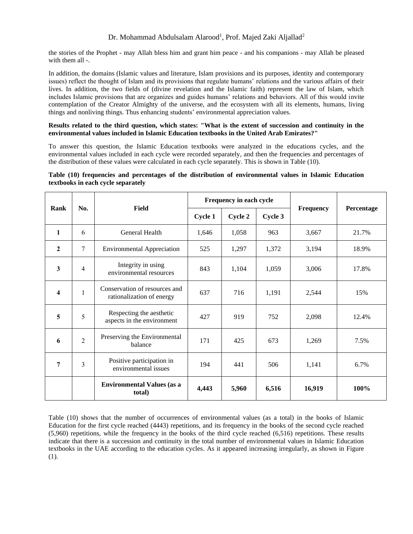the stories of the Prophet - may Allah bless him and grant him peace - and his companions - may Allah be pleased with them all -.

In addition, the domains (Islamic values and literature, Islam provisions and its purposes, identity and contemporary issues) reflect the thought of Islam and its provisions that regulate humans' relations and the various affairs of their lives. In addition, the two fields of (divine revelation and the Islamic faith) represent the law of Islam, which includes Islamic provisions that are organizes and guides humans' relations and behaviors. All of this would invite contemplation of the Creator Almighty of the universe, and the ecosystem with all its elements, humans, living things and nonliving things. Thus enhancing students' environmental appreciation values.

### **Results related to the third question, which states: "What is the extent of succession and continuity in the environmental values included in Islamic Education textbooks in the United Arab Emirates?"**

To answer this question, the Islamic Education textbooks were analyzed in the educations cycles, and the environmental values included in each cycle were recorded separately, and then the frequencies and percentages of the distribution of these values were calculated in each cycle separately. This is shown in Table (10).

### **Table (10) frequencies and percentages of the distribution of environmental values in Islamic Education textbooks in each cycle separately**

| Rank         |                |                                                            |         |         | Frequency in each cycle |           |            |
|--------------|----------------|------------------------------------------------------------|---------|---------|-------------------------|-----------|------------|
|              | No.            | Field                                                      | Cycle 1 | Cycle 2 | Cycle 3                 | Frequency | Percentage |
| 1            | 6              | General Health                                             | 1,646   | 1,058   | 963                     | 3,667     | 21.7%      |
| $\mathbf{2}$ | 7              | <b>Environmental Appreciation</b>                          | 525     | 1,297   | 1,372                   | 3,194     | 18.9%      |
| $\mathbf{3}$ | $\overline{4}$ | Integrity in using<br>environmental resources              | 843     | 1,104   | 1,059                   | 3,006     | 17.8%      |
| 4            | $\mathbf{1}$   | Conservation of resources and<br>rationalization of energy | 637     | 716     | 1,191                   | 2,544     | 15%        |
| 5            | 5              | Respecting the aesthetic<br>aspects in the environment     | 427     | 919     | 752                     | 2,098     | 12.4%      |
| 6            | $\overline{2}$ | Preserving the Environmental<br>balance                    | 171     | 425     | 673                     | 1,269     | 7.5%       |
| 7            | 3              | Positive participation in<br>environmental issues          | 194     | 441     | 506                     | 1,141     | 6.7%       |
|              |                | <b>Environmental Values (as a</b><br>total)                | 4,443   | 5,960   | 6,516                   | 16,919    | 100%       |

Table (10) shows that the number of occurrences of environmental values (as a total) in the books of Islamic Education for the first cycle reached (4443) repetitions, and its frequency in the books of the second cycle reached (5,960) repetitions, while the frequency in the books of the third cycle reached (6,516) repetitions. These results indicate that there is a succession and continuity in the total number of environmental values in Islamic Education textbooks in the UAE according to the education cycles. As it appeared increasing irregularly, as shown in Figure (1).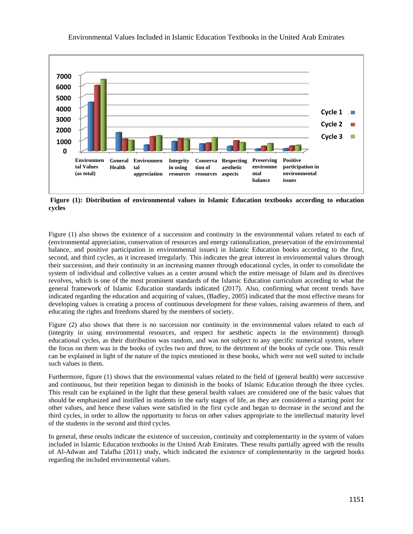

**Figure (1): Distribution of environmental values in Islamic Education textbooks according to education cycles**

Figure (1) also shows the existence of a succession and continuity in the environmental values related to each of (environmental appreciation, conservation of resources and energy rationalization, preservation of the environmental balance, and positive participation in environmental issues) in Islamic Education books according to the first, second, and third cycles, as it increased irregularly. This indicates the great interest in environmental values through their succession, and their continuity in an increasing manner through educational cycles, in order to consolidate the system of individual and collective values as a center around which the entire message of Islam and its directives revolves, which is one of the most prominent standards of the Islamic Education curriculum according to what the general framework of Islamic Education standards indicated (2017). Also, confirming what recent trends have indicated regarding the education and acquiring of values, (Badley, 2005) indicated that the most effective means for developing values is creating a process of continuous development for these values, raising awareness of them, and educating the rights and freedoms shared by the members of society.

Figure (2) also shows that there is no succession nor continuity in the environmental values related to each of (integrity in using environmental resources, and respect for aesthetic aspects in the environment) through educational cycles, as their distribution was random, and was not subject to any specific numerical system, where the focus on them was in the books of cycles two and three, to the detriment of the books of cycle one. This result can be explained in light of the nature of the topics mentioned in these books, which were not well suited to include such values in them.

Furthermore, figure (1) shows that the environmental values related to the field of (general health) were successive and continuous, but their repetition began to diminish in the books of Islamic Education through the three cycles. This result can be explained in the light that these general health values are considered one of the basic values that should be emphasized and instilled in students in the early stages of life, as they are considered a starting point for other values, and hence these values were satisfied in the first cycle and began to decrease in the second and the third cycles, in order to allow the opportunity to focus on other values appropriate to the intellectual maturity level of the students in the second and third cycles.

In general, these results indicate the existence of succession, continuity and complementarity in the system of values included in Islamic Education textbooks in the United Arab Emirates. These results partially agreed with the results of Al-Adwan and Talafha (2011) study, which indicated the existence of complementarity in the targeted books regarding the included environmental values.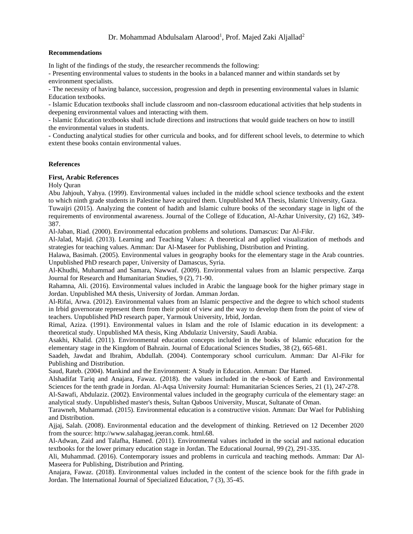#### **Recommendations**

In light of the findings of the study, the researcher recommends the following:

- Presenting environmental values to students in the books in a balanced manner and within standards set by environment specialists.

- The necessity of having balance, succession, progression and depth in presenting environmental values in Islamic Education textbooks.

- Islamic Education textbooks shall include classroom and non-classroom educational activities that help students in deepening environmental values and interacting with them.

- Islamic Education textbooks shall include directions and instructions that would guide teachers on how to instill the environmental values in students.

- Conducting analytical studies for other curricula and books, and for different school levels, to determine to which extent these books contain environmental values.

### **References**

#### **First, Arabic References**

Holy Quran

Abu Jahjouh, Yahya. (1999). Environmental values included in the middle school science textbooks and the extent to which ninth grade students in Palestine have acquired them. Unpublished MA Thesis, Islamic University, Gaza. Tuwaijri (2015). Analyzing the content of hadith and Islamic culture books of the secondary stage in light of the

requirements of environmental awareness. Journal of the College of Education, Al-Azhar University, (2) 162, 349- 387.

Al-Jaban, Riad. (2000). Environmental education problems and solutions. Damascus: Dar Al-Fikr.

Al-Jalad, Majid. (2013). Learning and Teaching Values: A theoretical and applied visualization of methods and strategies for teaching values. Amman: Dar Al-Maseer for Publishing, Distribution and Printing.

Halawa, Basimah. (2005). Environmental values in geography books for the elementary stage in the Arab countries. Unpublished PhD research paper, University of Damascus, Syria.

Al-Khudhi, Muhammad and Samara, Nawwaf. (2009). Environmental values from an Islamic perspective. Zarqa Journal for Research and Humanitarian Studies, 9 (2), 71-90.

Rahamna, Ali. (2016). Environmental values included in Arabic the language book for the higher primary stage in Jordan. Unpublished MA thesis, University of Jordan. Amman Jordan.

Al-Rifai, Arwa. (2012). Environmental values from an Islamic perspective and the degree to which school students in Irbid governorate represent them from their point of view and the way to develop them from the point of view of teachers. Unpublished PhD research paper, Yarmouk University, Irbid, Jordan.

Rimal, Aziza. (1991). Environmental values in Islam and the role of Islamic education in its development: a theoretical study. Unpublished MA thesis, King Abdulaziz University, Saudi Arabia.

Asakhi, Khalid. (2011). Environmental education concepts included in the books of Islamic education for the elementary stage in the Kingdom of Bahrain. Journal of Educational Sciences Studies, 38 (2), 665-681.

Saadeh, Jawdat and Ibrahim, Abdullah. (2004). Contemporary school curriculum. Amman: Dar Al-Fikr for Publishing and Distribution.

Saud, Rateb. (2004). Mankind and the Environment: A Study in Education. Amman: Dar Hamed.

Alshadifat Tariq and Anajara, Fawaz. (2018). the values included in the e-book of Earth and Environmental Sciences for the tenth grade in Jordan. Al-Aqsa University Journal: Humanitarian Sciences Series, 21 (1), 247-278.

Al-Sawafi, Abdulaziz. (2002). Environmental values included in the geography curricula of the elementary stage: an analytical study. Unpublished master's thesis, Sultan Qaboos University, Muscat, Sultanate of Oman.

Tarawneh, Muhammad. (2015). Environmental education is a constructive vision. Amman: Dar Wael for Publishing and Distribution.

Ajjaj, Salah. (2008). Environmental education and the development of thinking. Retrieved on 12 December 2020 from the source: http://www.salahagag.jeeran.comk. html.68.

Al-Adwan, Zaid and Talafha, Hamed. (2011). Environmental values included in the social and national education textbooks for the lower primary education stage in Jordan. The Educational Journal, 99 (2), 291-335.

Ali, Muhammad. (2016). Contemporary issues and problems in curricula and teaching methods. Amman: Dar Al-Maseera for Publishing, Distribution and Printing.

Anajara, Fawaz. (2018). Environmental values included in the content of the science book for the fifth grade in Jordan. The International Journal of Specialized Education, 7 (3), 35-45.